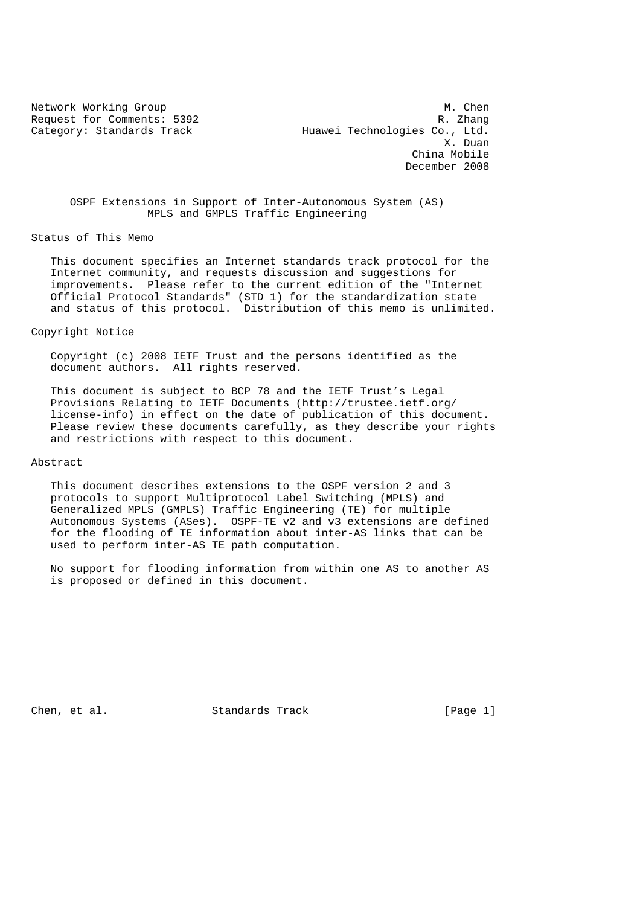Network Working Group Methods and Muslim Muslim Muslim Muslim Muslim Muslim Muslim Muslim Muslim Muslim Muslim Request for Comments: 5392 R. Zhang Category: Standards Track Huawei Technologies Co., Ltd. X. Duan China Mobile December 2008

 OSPF Extensions in Support of Inter-Autonomous System (AS) MPLS and GMPLS Traffic Engineering

Status of This Memo

 This document specifies an Internet standards track protocol for the Internet community, and requests discussion and suggestions for improvements. Please refer to the current edition of the "Internet Official Protocol Standards" (STD 1) for the standardization state and status of this protocol. Distribution of this memo is unlimited.

### Copyright Notice

 Copyright (c) 2008 IETF Trust and the persons identified as the document authors. All rights reserved.

 This document is subject to BCP 78 and the IETF Trust's Legal Provisions Relating to IETF Documents (http://trustee.ietf.org/ license-info) in effect on the date of publication of this document. Please review these documents carefully, as they describe your rights and restrictions with respect to this document.

#### Abstract

 This document describes extensions to the OSPF version 2 and 3 protocols to support Multiprotocol Label Switching (MPLS) and Generalized MPLS (GMPLS) Traffic Engineering (TE) for multiple Autonomous Systems (ASes). OSPF-TE v2 and v3 extensions are defined for the flooding of TE information about inter-AS links that can be used to perform inter-AS TE path computation.

 No support for flooding information from within one AS to another AS is proposed or defined in this document.

Chen, et al. Standards Track [Page 1]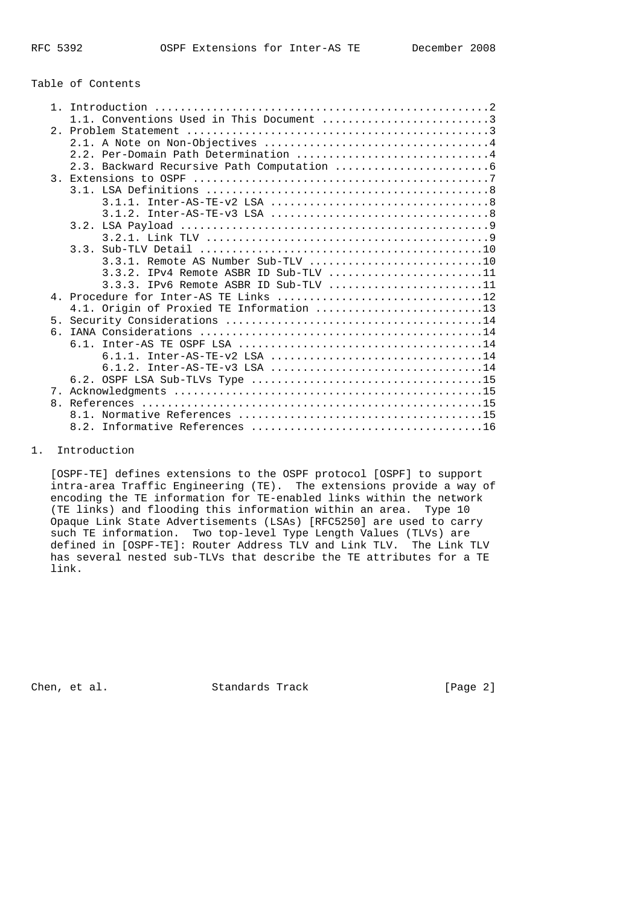# Table of Contents

| 1.1. Conventions Used in This Document 3 |
|------------------------------------------|
|                                          |
|                                          |
| 2.2. Per-Domain Path Determination 4     |
|                                          |
|                                          |
|                                          |
|                                          |
|                                          |
|                                          |
|                                          |
|                                          |
| 3.3.1. Remote AS Number Sub-TLV 10       |
| $3.3.2.$ IPv4 Remote ASBR ID Sub-TLV 11  |
| $3.3.3.$ IPv6 Remote ASBR ID Sub-TLV 11  |
|                                          |
| 4.1. Origin of Proxied TE Information 13 |
| 5 <sub>1</sub>                           |
| რ.                                       |
|                                          |
| $6.1.1.$ Inter-AS-TE-v2 LSA 14           |
| $6.1.2.$ Inter-AS-TE-v3 LSA 14           |
|                                          |
|                                          |
| 8 <sub>1</sub>                           |
|                                          |
|                                          |

# 1. Introduction

 [OSPF-TE] defines extensions to the OSPF protocol [OSPF] to support intra-area Traffic Engineering (TE). The extensions provide a way of encoding the TE information for TE-enabled links within the network (TE links) and flooding this information within an area. Type 10 Opaque Link State Advertisements (LSAs) [RFC5250] are used to carry such TE information. Two top-level Type Length Values (TLVs) are defined in [OSPF-TE]: Router Address TLV and Link TLV. The Link TLV has several nested sub-TLVs that describe the TE attributes for a TE link.

Chen, et al. Standards Track [Page 2]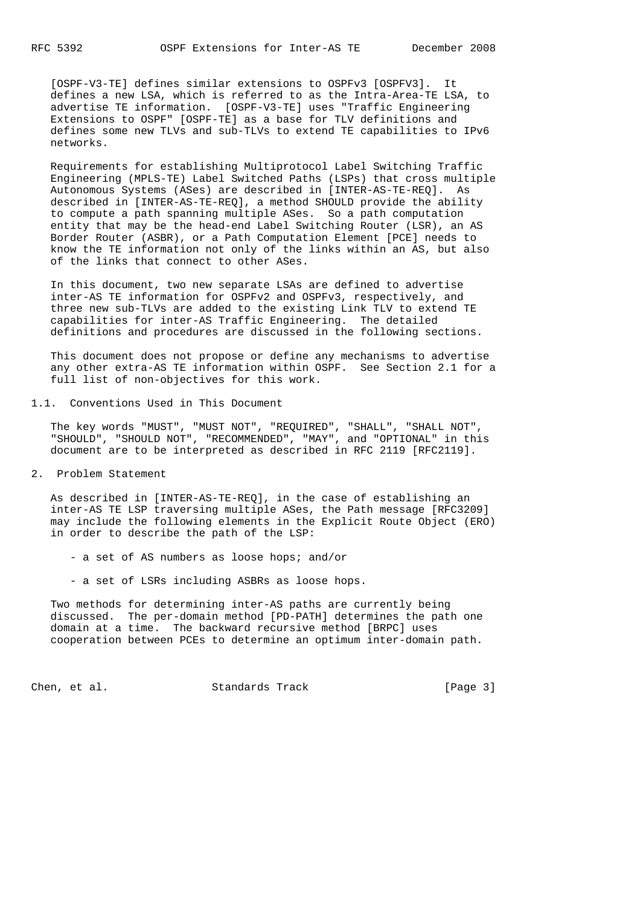[OSPF-V3-TE] defines similar extensions to OSPFv3 [OSPFV3]. It defines a new LSA, which is referred to as the Intra-Area-TE LSA, to advertise TE information. [OSPF-V3-TE] uses "Traffic Engineering Extensions to OSPF" [OSPF-TE] as a base for TLV definitions and defines some new TLVs and sub-TLVs to extend TE capabilities to IPv6 networks.

 Requirements for establishing Multiprotocol Label Switching Traffic Engineering (MPLS-TE) Label Switched Paths (LSPs) that cross multiple Autonomous Systems (ASes) are described in [INTER-AS-TE-REQ]. As described in [INTER-AS-TE-REQ], a method SHOULD provide the ability to compute a path spanning multiple ASes. So a path computation entity that may be the head-end Label Switching Router (LSR), an AS Border Router (ASBR), or a Path Computation Element [PCE] needs to know the TE information not only of the links within an AS, but also of the links that connect to other ASes.

 In this document, two new separate LSAs are defined to advertise inter-AS TE information for OSPFv2 and OSPFv3, respectively, and three new sub-TLVs are added to the existing Link TLV to extend TE capabilities for inter-AS Traffic Engineering. The detailed definitions and procedures are discussed in the following sections.

 This document does not propose or define any mechanisms to advertise any other extra-AS TE information within OSPF. See Section 2.1 for a full list of non-objectives for this work.

1.1. Conventions Used in This Document

 The key words "MUST", "MUST NOT", "REQUIRED", "SHALL", "SHALL NOT", "SHOULD", "SHOULD NOT", "RECOMMENDED", "MAY", and "OPTIONAL" in this document are to be interpreted as described in RFC 2119 [RFC2119].

2. Problem Statement

 As described in [INTER-AS-TE-REQ], in the case of establishing an inter-AS TE LSP traversing multiple ASes, the Path message [RFC3209] may include the following elements in the Explicit Route Object (ERO) in order to describe the path of the LSP:

- a set of AS numbers as loose hops; and/or
- a set of LSRs including ASBRs as loose hops.

 Two methods for determining inter-AS paths are currently being discussed. The per-domain method [PD-PATH] determines the path one domain at a time. The backward recursive method [BRPC] uses cooperation between PCEs to determine an optimum inter-domain path.

Chen, et al. Standards Track [Page 3]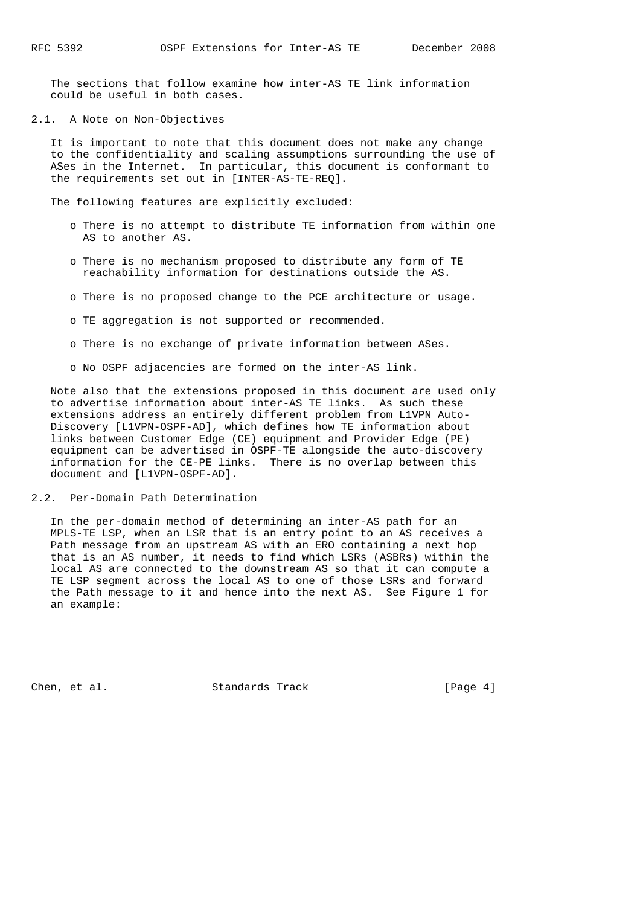The sections that follow examine how inter-AS TE link information could be useful in both cases.

2.1. A Note on Non-Objectives

 It is important to note that this document does not make any change to the confidentiality and scaling assumptions surrounding the use of ASes in the Internet. In particular, this document is conformant to the requirements set out in [INTER-AS-TE-REQ].

The following features are explicitly excluded:

- o There is no attempt to distribute TE information from within one AS to another AS.
- o There is no mechanism proposed to distribute any form of TE reachability information for destinations outside the AS.
- o There is no proposed change to the PCE architecture or usage.
- o TE aggregation is not supported or recommended.
- o There is no exchange of private information between ASes.
- o No OSPF adjacencies are formed on the inter-AS link.

 Note also that the extensions proposed in this document are used only to advertise information about inter-AS TE links. As such these extensions address an entirely different problem from L1VPN Auto- Discovery [L1VPN-OSPF-AD], which defines how TE information about links between Customer Edge (CE) equipment and Provider Edge (PE) equipment can be advertised in OSPF-TE alongside the auto-discovery information for the CE-PE links. There is no overlap between this document and [L1VPN-OSPF-AD].

2.2. Per-Domain Path Determination

 In the per-domain method of determining an inter-AS path for an MPLS-TE LSP, when an LSR that is an entry point to an AS receives a Path message from an upstream AS with an ERO containing a next hop that is an AS number, it needs to find which LSRs (ASBRs) within the local AS are connected to the downstream AS so that it can compute a TE LSP segment across the local AS to one of those LSRs and forward the Path message to it and hence into the next AS. See Figure 1 for an example:

Chen, et al. Standards Track [Page 4]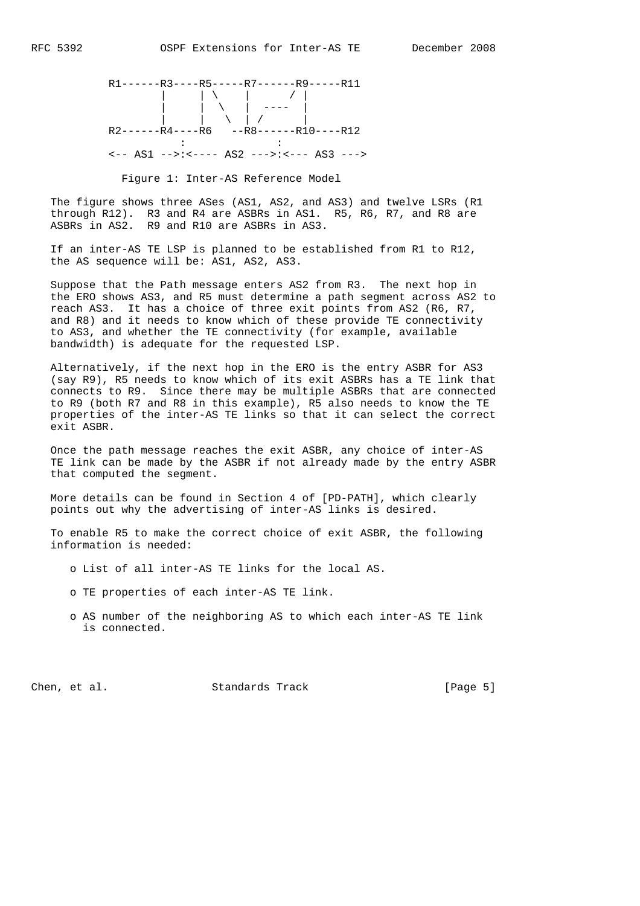

#### Figure 1: Inter-AS Reference Model

 The figure shows three ASes (AS1, AS2, and AS3) and twelve LSRs (R1 through R12). R3 and R4 are ASBRs in AS1. R5, R6, R7, and R8 are ASBRs in AS2. R9 and R10 are ASBRs in AS3.

 If an inter-AS TE LSP is planned to be established from R1 to R12, the AS sequence will be: AS1, AS2, AS3.

 Suppose that the Path message enters AS2 from R3. The next hop in the ERO shows AS3, and R5 must determine a path segment across AS2 to reach AS3. It has a choice of three exit points from AS2 (R6, R7, and R8) and it needs to know which of these provide TE connectivity to AS3, and whether the TE connectivity (for example, available bandwidth) is adequate for the requested LSP.

 Alternatively, if the next hop in the ERO is the entry ASBR for AS3 (say R9), R5 needs to know which of its exit ASBRs has a TE link that connects to R9. Since there may be multiple ASBRs that are connected to R9 (both R7 and R8 in this example), R5 also needs to know the TE properties of the inter-AS TE links so that it can select the correct exit ASBR.

 Once the path message reaches the exit ASBR, any choice of inter-AS TE link can be made by the ASBR if not already made by the entry ASBR that computed the segment.

 More details can be found in Section 4 of [PD-PATH], which clearly points out why the advertising of inter-AS links is desired.

 To enable R5 to make the correct choice of exit ASBR, the following information is needed:

- o List of all inter-AS TE links for the local AS.
- o TE properties of each inter-AS TE link.
- o AS number of the neighboring AS to which each inter-AS TE link is connected.

Chen, et al. Standards Track [Page 5]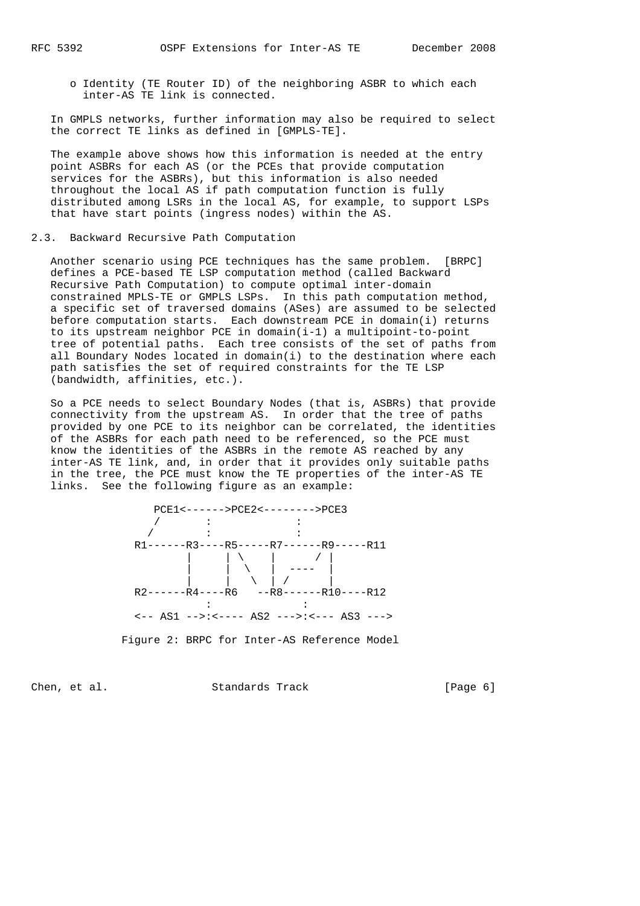o Identity (TE Router ID) of the neighboring ASBR to which each inter-AS TE link is connected.

 In GMPLS networks, further information may also be required to select the correct TE links as defined in [GMPLS-TE].

 The example above shows how this information is needed at the entry point ASBRs for each AS (or the PCEs that provide computation services for the ASBRs), but this information is also needed throughout the local AS if path computation function is fully distributed among LSRs in the local AS, for example, to support LSPs that have start points (ingress nodes) within the AS.

### 2.3. Backward Recursive Path Computation

 Another scenario using PCE techniques has the same problem. [BRPC] defines a PCE-based TE LSP computation method (called Backward Recursive Path Computation) to compute optimal inter-domain constrained MPLS-TE or GMPLS LSPs. In this path computation method, a specific set of traversed domains (ASes) are assumed to be selected before computation starts. Each downstream PCE in domain(i) returns to its upstream neighbor PCE in domain(i-1) a multipoint-to-point tree of potential paths. Each tree consists of the set of paths from all Boundary Nodes located in domain(i) to the destination where each path satisfies the set of required constraints for the TE LSP (bandwidth, affinities, etc.).

 So a PCE needs to select Boundary Nodes (that is, ASBRs) that provide connectivity from the upstream AS. In order that the tree of paths provided by one PCE to its neighbor can be correlated, the identities of the ASBRs for each path need to be referenced, so the PCE must know the identities of the ASBRs in the remote AS reached by any inter-AS TE link, and, in order that it provides only suitable paths in the tree, the PCE must know the TE properties of the inter-AS TE links. See the following figure as an example:



Figure 2: BRPC for Inter-AS Reference Model

Chen, et al. Standards Track [Page 6]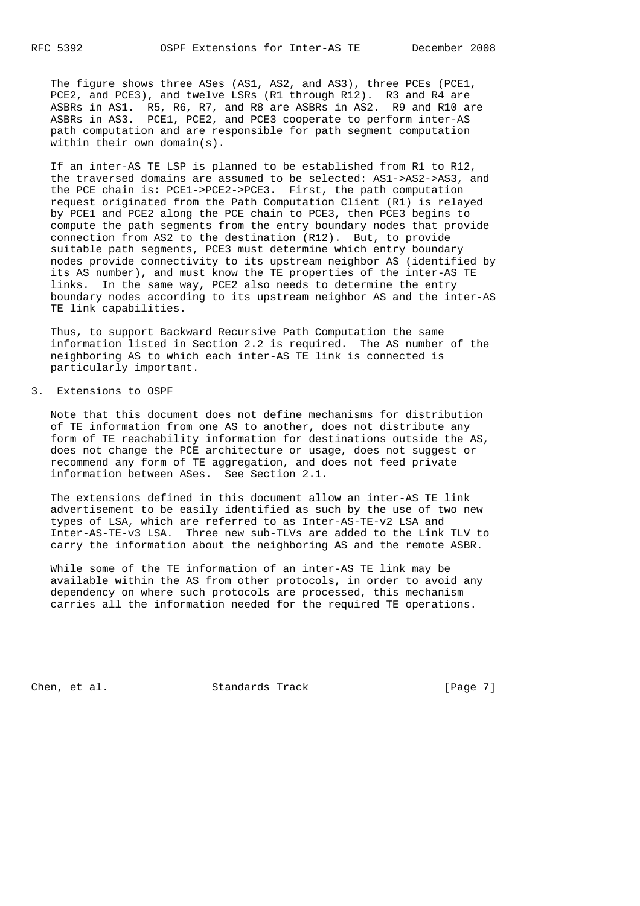The figure shows three ASes (AS1, AS2, and AS3), three PCEs (PCE1, PCE2, and PCE3), and twelve LSRs (R1 through R12). R3 and R4 are ASBRs in AS1. R5, R6, R7, and R8 are ASBRs in AS2. R9 and R10 are ASBRs in AS3. PCE1, PCE2, and PCE3 cooperate to perform inter-AS path computation and are responsible for path segment computation within their own domain(s).

 If an inter-AS TE LSP is planned to be established from R1 to R12, the traversed domains are assumed to be selected: AS1->AS2->AS3, and the PCE chain is: PCE1->PCE2->PCE3. First, the path computation request originated from the Path Computation Client (R1) is relayed by PCE1 and PCE2 along the PCE chain to PCE3, then PCE3 begins to compute the path segments from the entry boundary nodes that provide connection from AS2 to the destination (R12). But, to provide suitable path segments, PCE3 must determine which entry boundary nodes provide connectivity to its upstream neighbor AS (identified by its AS number), and must know the TE properties of the inter-AS TE links. In the same way, PCE2 also needs to determine the entry boundary nodes according to its upstream neighbor AS and the inter-AS TE link capabilities.

 Thus, to support Backward Recursive Path Computation the same information listed in Section 2.2 is required. The AS number of the neighboring AS to which each inter-AS TE link is connected is particularly important.

### 3. Extensions to OSPF

 Note that this document does not define mechanisms for distribution of TE information from one AS to another, does not distribute any form of TE reachability information for destinations outside the AS, does not change the PCE architecture or usage, does not suggest or recommend any form of TE aggregation, and does not feed private information between ASes. See Section 2.1.

 The extensions defined in this document allow an inter-AS TE link advertisement to be easily identified as such by the use of two new types of LSA, which are referred to as Inter-AS-TE-v2 LSA and Inter-AS-TE-v3 LSA. Three new sub-TLVs are added to the Link TLV to carry the information about the neighboring AS and the remote ASBR.

 While some of the TE information of an inter-AS TE link may be available within the AS from other protocols, in order to avoid any dependency on where such protocols are processed, this mechanism carries all the information needed for the required TE operations.

Chen, et al. Standards Track [Page 7]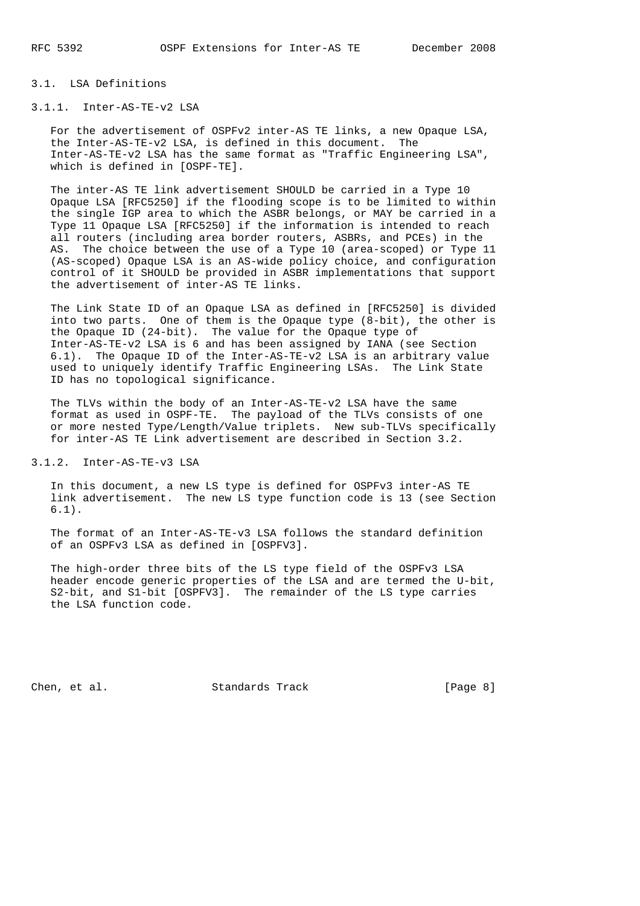#### 3.1. LSA Definitions

### 3.1.1. Inter-AS-TE-v2 LSA

 For the advertisement of OSPFv2 inter-AS TE links, a new Opaque LSA, the Inter-AS-TE-v2 LSA, is defined in this document. The Inter-AS-TE-v2 LSA has the same format as "Traffic Engineering LSA", which is defined in [OSPF-TE].

 The inter-AS TE link advertisement SHOULD be carried in a Type 10 Opaque LSA [RFC5250] if the flooding scope is to be limited to within the single IGP area to which the ASBR belongs, or MAY be carried in a Type 11 Opaque LSA [RFC5250] if the information is intended to reach all routers (including area border routers, ASBRs, and PCEs) in the AS. The choice between the use of a Type 10 (area-scoped) or Type 11 (AS-scoped) Opaque LSA is an AS-wide policy choice, and configuration control of it SHOULD be provided in ASBR implementations that support the advertisement of inter-AS TE links.

 The Link State ID of an Opaque LSA as defined in [RFC5250] is divided into two parts. One of them is the Opaque type (8-bit), the other is the Opaque ID (24-bit). The value for the Opaque type of Inter-AS-TE-v2 LSA is 6 and has been assigned by IANA (see Section 6.1). The Opaque ID of the Inter-AS-TE-v2 LSA is an arbitrary value used to uniquely identify Traffic Engineering LSAs. The Link State ID has no topological significance.

 The TLVs within the body of an Inter-AS-TE-v2 LSA have the same format as used in OSPF-TE. The payload of the TLVs consists of one or more nested Type/Length/Value triplets. New sub-TLVs specifically for inter-AS TE Link advertisement are described in Section 3.2.

3.1.2. Inter-AS-TE-v3 LSA

 In this document, a new LS type is defined for OSPFv3 inter-AS TE link advertisement. The new LS type function code is 13 (see Section 6.1).

 The format of an Inter-AS-TE-v3 LSA follows the standard definition of an OSPFv3 LSA as defined in [OSPFV3].

 The high-order three bits of the LS type field of the OSPFv3 LSA header encode generic properties of the LSA and are termed the U-bit, S2-bit, and S1-bit [OSPFV3]. The remainder of the LS type carries the LSA function code.

Chen, et al. Standards Track [Page 8]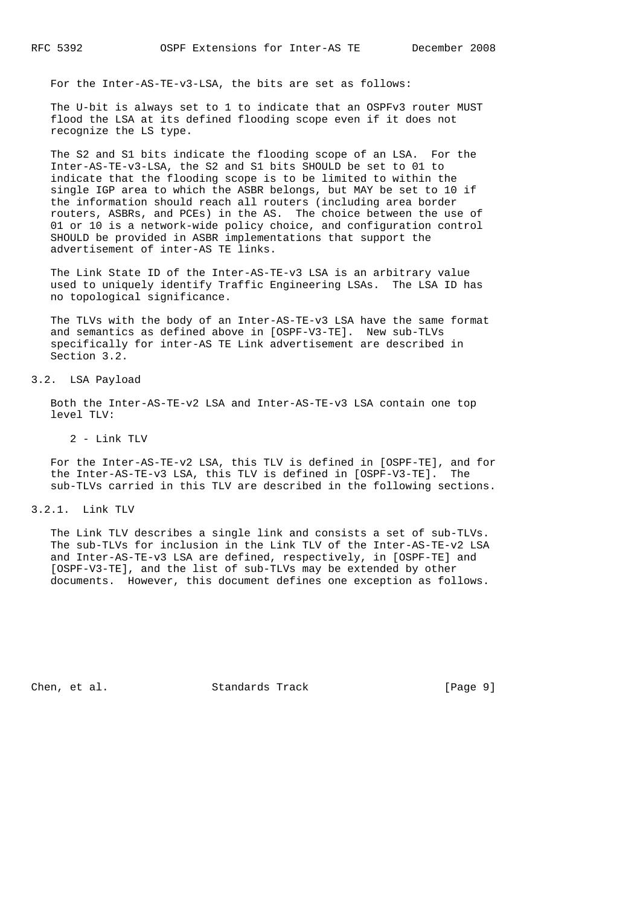For the Inter-AS-TE-v3-LSA, the bits are set as follows:

 The U-bit is always set to 1 to indicate that an OSPFv3 router MUST flood the LSA at its defined flooding scope even if it does not recognize the LS type.

 The S2 and S1 bits indicate the flooding scope of an LSA. For the Inter-AS-TE-v3-LSA, the S2 and S1 bits SHOULD be set to 01 to indicate that the flooding scope is to be limited to within the single IGP area to which the ASBR belongs, but MAY be set to 10 if the information should reach all routers (including area border routers, ASBRs, and PCEs) in the AS. The choice between the use of 01 or 10 is a network-wide policy choice, and configuration control SHOULD be provided in ASBR implementations that support the advertisement of inter-AS TE links.

 The Link State ID of the Inter-AS-TE-v3 LSA is an arbitrary value used to uniquely identify Traffic Engineering LSAs. The LSA ID has no topological significance.

 The TLVs with the body of an Inter-AS-TE-v3 LSA have the same format and semantics as defined above in [OSPF-V3-TE]. New sub-TLVs specifically for inter-AS TE Link advertisement are described in Section 3.2.

# 3.2. LSA Payload

 Both the Inter-AS-TE-v2 LSA and Inter-AS-TE-v3 LSA contain one top level TLV:

2 - Link TLV

 For the Inter-AS-TE-v2 LSA, this TLV is defined in [OSPF-TE], and for the Inter-AS-TE-v3 LSA, this TLV is defined in [OSPF-V3-TE]. The sub-TLVs carried in this TLV are described in the following sections.

3.2.1. Link TLV

 The Link TLV describes a single link and consists a set of sub-TLVs. The sub-TLVs for inclusion in the Link TLV of the Inter-AS-TE-v2 LSA and Inter-AS-TE-v3 LSA are defined, respectively, in [OSPF-TE] and [OSPF-V3-TE], and the list of sub-TLVs may be extended by other documents. However, this document defines one exception as follows.

Chen, et al. Standards Track [Page 9]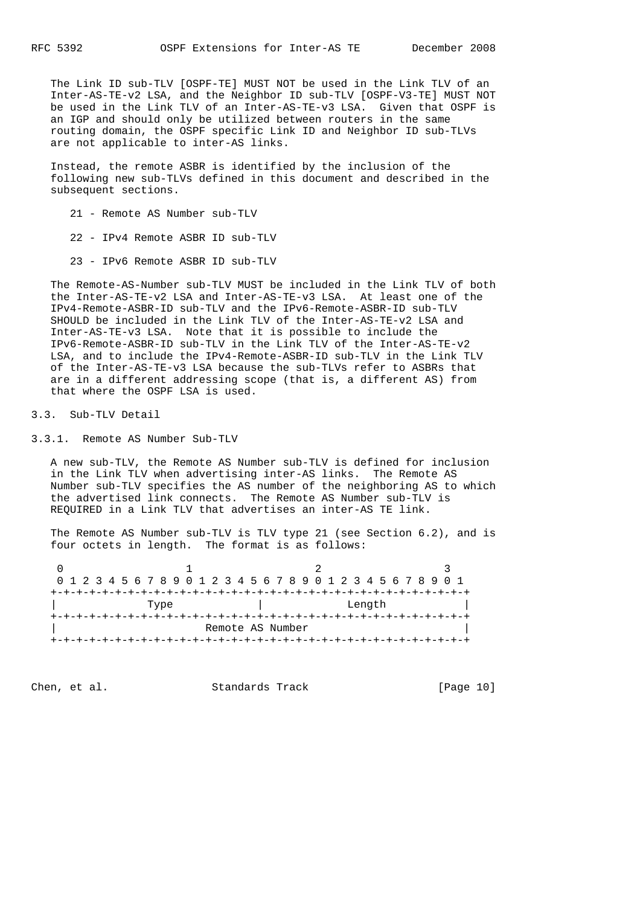The Link ID sub-TLV [OSPF-TE] MUST NOT be used in the Link TLV of an Inter-AS-TE-v2 LSA, and the Neighbor ID sub-TLV [OSPF-V3-TE] MUST NOT be used in the Link TLV of an Inter-AS-TE-v3 LSA. Given that OSPF is an IGP and should only be utilized between routers in the same routing domain, the OSPF specific Link ID and Neighbor ID sub-TLVs are not applicable to inter-AS links.

 Instead, the remote ASBR is identified by the inclusion of the following new sub-TLVs defined in this document and described in the subsequent sections.

21 - Remote AS Number sub-TLV

22 - IPv4 Remote ASBR ID sub-TLV

23 - IPv6 Remote ASBR ID sub-TLV

 The Remote-AS-Number sub-TLV MUST be included in the Link TLV of both the Inter-AS-TE-v2 LSA and Inter-AS-TE-v3 LSA. At least one of the IPv4-Remote-ASBR-ID sub-TLV and the IPv6-Remote-ASBR-ID sub-TLV SHOULD be included in the Link TLV of the Inter-AS-TE-v2 LSA and Inter-AS-TE-v3 LSA. Note that it is possible to include the IPv6-Remote-ASBR-ID sub-TLV in the Link TLV of the Inter-AS-TE-v2 LSA, and to include the IPv4-Remote-ASBR-ID sub-TLV in the Link TLV of the Inter-AS-TE-v3 LSA because the sub-TLVs refer to ASBRs that are in a different addressing scope (that is, a different AS) from that where the OSPF LSA is used.

3.3. Sub-TLV Detail

3.3.1. Remote AS Number Sub-TLV

 A new sub-TLV, the Remote AS Number sub-TLV is defined for inclusion in the Link TLV when advertising inter-AS links. The Remote AS Number sub-TLV specifies the AS number of the neighboring AS to which the advertised link connects. The Remote AS Number sub-TLV is REQUIRED in a Link TLV that advertises an inter-AS TE link.

 The Remote AS Number sub-TLV is TLV type 21 (see Section 6.2), and is four octets in length. The format is as follows:

0  $1$  2 3 0 1 2 3 4 5 6 7 8 9 0 1 2 3 4 5 6 7 8 9 0 1 2 3 4 5 6 7 8 9 0 1 +-+-+-+-+-+-+-+-+-+-+-+-+-+-+-+-+-+-+-+-+-+-+-+-+-+-+-+-+-+-+-+-+ | Type | Length | +-+-+-+-+-+-+-+-+-+-+-+-+-+-+-+-+-+-+-+-+-+-+-+-+-+-+-+-+-+-+-+-+ Remote AS Number +-+-+-+-+-+-+-+-+-+-+-+-+-+-+-+-+-+-+-+-+-+-+-+-+-+-+-+-+-+-+-+-+

Chen, et al. Standards Track [Page 10]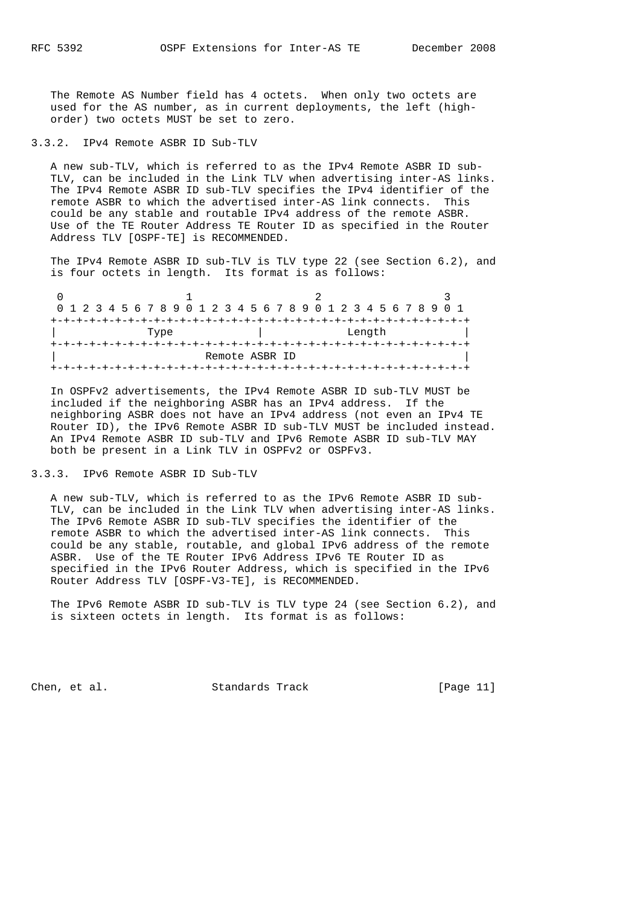The Remote AS Number field has 4 octets. When only two octets are used for the AS number, as in current deployments, the left (high order) two octets MUST be set to zero.

### 3.3.2. IPv4 Remote ASBR ID Sub-TLV

 A new sub-TLV, which is referred to as the IPv4 Remote ASBR ID sub- TLV, can be included in the Link TLV when advertising inter-AS links. The IPv4 Remote ASBR ID sub-TLV specifies the IPv4 identifier of the remote ASBR to which the advertised inter-AS link connects. This could be any stable and routable IPv4 address of the remote ASBR. Use of the TE Router Address TE Router ID as specified in the Router Address TLV [OSPF-TE] is RECOMMENDED.

 The IPv4 Remote ASBR ID sub-TLV is TLV type 22 (see Section 6.2), and is four octets in length. Its format is as follows:

| 0 1 2 3 4 5 6 7 8 9 0 1 2 3 4 5 6 7 8 9 0 1 2 3 4 5 6 7 8 9 0 1 |  |  |  |  |  |  |  |  |        |                |  |  |  |  |  |  |  |  |  |  |  |  |  |  |  |  |  |
|-----------------------------------------------------------------|--|--|--|--|--|--|--|--|--------|----------------|--|--|--|--|--|--|--|--|--|--|--|--|--|--|--|--|--|
|                                                                 |  |  |  |  |  |  |  |  |        |                |  |  |  |  |  |  |  |  |  |  |  |  |  |  |  |  |  |
| Type                                                            |  |  |  |  |  |  |  |  | Length |                |  |  |  |  |  |  |  |  |  |  |  |  |  |  |  |  |  |
|                                                                 |  |  |  |  |  |  |  |  |        |                |  |  |  |  |  |  |  |  |  |  |  |  |  |  |  |  |  |
|                                                                 |  |  |  |  |  |  |  |  |        | Remote ASBR ID |  |  |  |  |  |  |  |  |  |  |  |  |  |  |  |  |  |
|                                                                 |  |  |  |  |  |  |  |  |        |                |  |  |  |  |  |  |  |  |  |  |  |  |  |  |  |  |  |

 In OSPFv2 advertisements, the IPv4 Remote ASBR ID sub-TLV MUST be included if the neighboring ASBR has an IPv4 address. If the neighboring ASBR does not have an IPv4 address (not even an IPv4 TE Router ID), the IPv6 Remote ASBR ID sub-TLV MUST be included instead. An IPv4 Remote ASBR ID sub-TLV and IPv6 Remote ASBR ID sub-TLV MAY both be present in a Link TLV in OSPFv2 or OSPFv3.

3.3.3. IPv6 Remote ASBR ID Sub-TLV

 A new sub-TLV, which is referred to as the IPv6 Remote ASBR ID sub- TLV, can be included in the Link TLV when advertising inter-AS links. The IPv6 Remote ASBR ID sub-TLV specifies the identifier of the remote ASBR to which the advertised inter-AS link connects. This could be any stable, routable, and global IPv6 address of the remote ASBR. Use of the TE Router IPv6 Address IPv6 TE Router ID as specified in the IPv6 Router Address, which is specified in the IPv6 Router Address TLV [OSPF-V3-TE], is RECOMMENDED.

 The IPv6 Remote ASBR ID sub-TLV is TLV type 24 (see Section 6.2), and is sixteen octets in length. Its format is as follows:

Chen, et al. Standards Track [Page 11]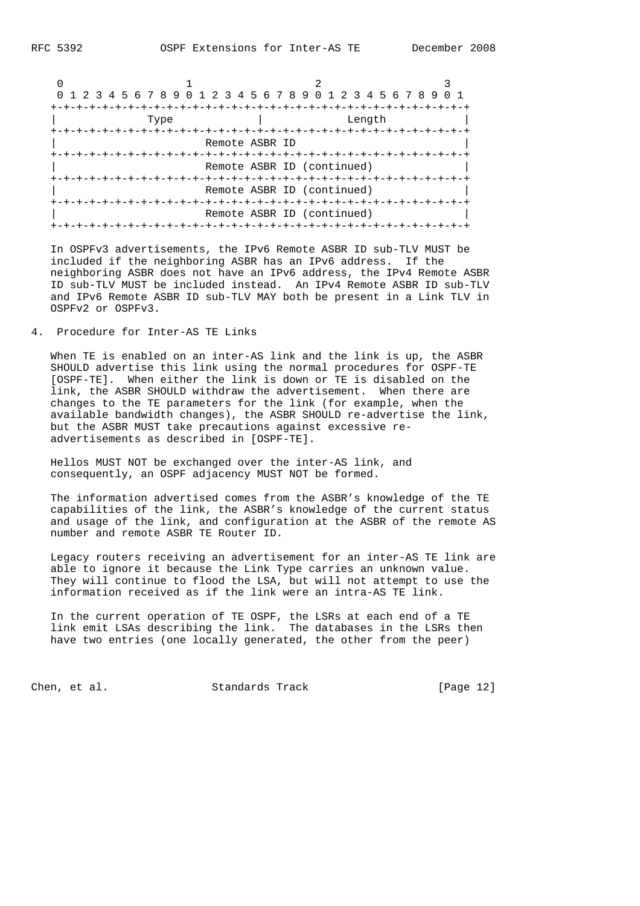| 0 1 2 3 4 5 6 7 8 9 0 1 2 3 4 5 6 7 8 9 0 1 2 3 4 5 6 7 8 9 |                                            |                                                 |  |
|-------------------------------------------------------------|--------------------------------------------|-------------------------------------------------|--|
| Type                                                        |                                            | Length                                          |  |
| +-+-+-+-+-+                                                 | Remote ASBR ID<br>-+-+-+-+-+-+-+-+-+-+-+-+ |                                                 |  |
|                                                             |                                            | Remote ASBR ID (continued)<br>-+-+-+-+-+-+-+-+- |  |
|                                                             |                                            | Remote ASBR ID (continued)                      |  |
|                                                             | +-+-+-+-+                                  | Remote ASBR ID (continued)                      |  |

 In OSPFv3 advertisements, the IPv6 Remote ASBR ID sub-TLV MUST be included if the neighboring ASBR has an IPv6 address. If the neighboring ASBR does not have an IPv6 address, the IPv4 Remote ASBR ID sub-TLV MUST be included instead. An IPv4 Remote ASBR ID sub-TLV and IPv6 Remote ASBR ID sub-TLV MAY both be present in a Link TLV in OSPFv2 or OSPFv3.

4. Procedure for Inter-AS TE Links

 When TE is enabled on an inter-AS link and the link is up, the ASBR SHOULD advertise this link using the normal procedures for OSPF-TE [OSPF-TE]. When either the link is down or TE is disabled on the link, the ASBR SHOULD withdraw the advertisement. When there are changes to the TE parameters for the link (for example, when the available bandwidth changes), the ASBR SHOULD re-advertise the link, but the ASBR MUST take precautions against excessive re advertisements as described in [OSPF-TE].

 Hellos MUST NOT be exchanged over the inter-AS link, and consequently, an OSPF adjacency MUST NOT be formed.

 The information advertised comes from the ASBR's knowledge of the TE capabilities of the link, the ASBR's knowledge of the current status and usage of the link, and configuration at the ASBR of the remote AS number and remote ASBR TE Router ID.

 Legacy routers receiving an advertisement for an inter-AS TE link are able to ignore it because the Link Type carries an unknown value. They will continue to flood the LSA, but will not attempt to use the information received as if the link were an intra-AS TE link.

 In the current operation of TE OSPF, the LSRs at each end of a TE link emit LSAs describing the link. The databases in the LSRs then have two entries (one locally generated, the other from the peer)

Chen, et al. Standards Track [Page 12]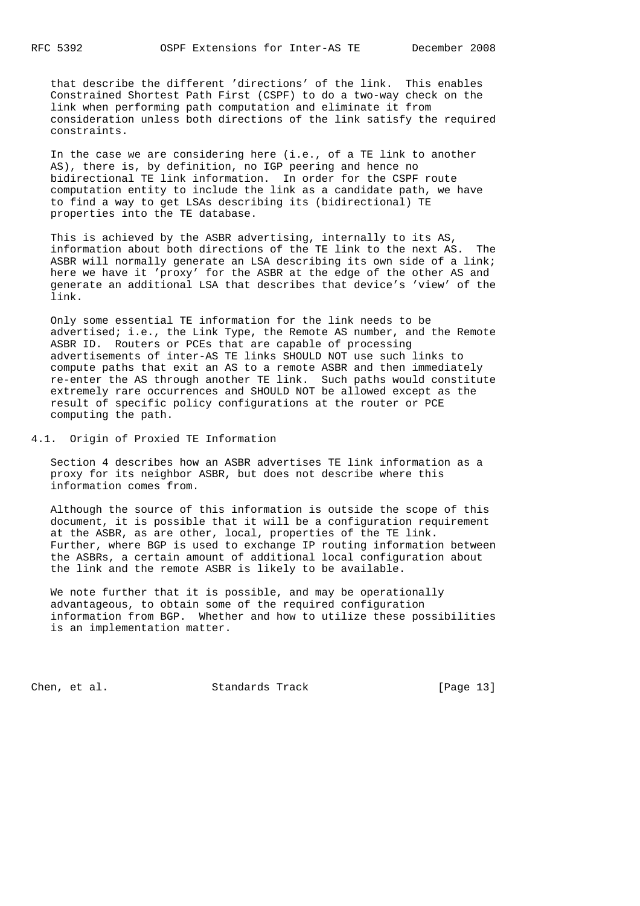that describe the different 'directions' of the link. This enables Constrained Shortest Path First (CSPF) to do a two-way check on the link when performing path computation and eliminate it from consideration unless both directions of the link satisfy the required constraints.

 In the case we are considering here (i.e., of a TE link to another AS), there is, by definition, no IGP peering and hence no bidirectional TE link information. In order for the CSPF route computation entity to include the link as a candidate path, we have to find a way to get LSAs describing its (bidirectional) TE properties into the TE database.

 This is achieved by the ASBR advertising, internally to its AS, information about both directions of the TE link to the next AS. The ASBR will normally generate an LSA describing its own side of a link; here we have it 'proxy' for the ASBR at the edge of the other AS and generate an additional LSA that describes that device's 'view' of the link.

 Only some essential TE information for the link needs to be advertised; i.e., the Link Type, the Remote AS number, and the Remote ASBR ID. Routers or PCEs that are capable of processing advertisements of inter-AS TE links SHOULD NOT use such links to compute paths that exit an AS to a remote ASBR and then immediately re-enter the AS through another TE link. Such paths would constitute extremely rare occurrences and SHOULD NOT be allowed except as the result of specific policy configurations at the router or PCE computing the path.

4.1. Origin of Proxied TE Information

 Section 4 describes how an ASBR advertises TE link information as a proxy for its neighbor ASBR, but does not describe where this information comes from.

 Although the source of this information is outside the scope of this document, it is possible that it will be a configuration requirement at the ASBR, as are other, local, properties of the TE link. Further, where BGP is used to exchange IP routing information between the ASBRs, a certain amount of additional local configuration about the link and the remote ASBR is likely to be available.

 We note further that it is possible, and may be operationally advantageous, to obtain some of the required configuration information from BGP. Whether and how to utilize these possibilities is an implementation matter.

Chen, et al. Standards Track [Page 13]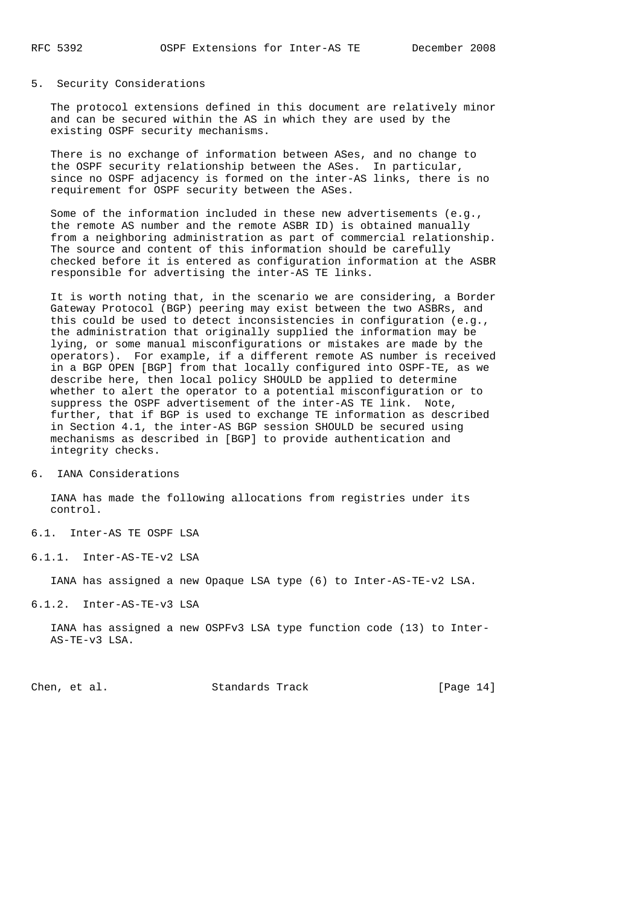### 5. Security Considerations

 The protocol extensions defined in this document are relatively minor and can be secured within the AS in which they are used by the existing OSPF security mechanisms.

 There is no exchange of information between ASes, and no change to the OSPF security relationship between the ASes. In particular, since no OSPF adjacency is formed on the inter-AS links, there is no requirement for OSPF security between the ASes.

 Some of the information included in these new advertisements (e.g., the remote AS number and the remote ASBR ID) is obtained manually from a neighboring administration as part of commercial relationship. The source and content of this information should be carefully checked before it is entered as configuration information at the ASBR responsible for advertising the inter-AS TE links.

 It is worth noting that, in the scenario we are considering, a Border Gateway Protocol (BGP) peering may exist between the two ASBRs, and this could be used to detect inconsistencies in configuration (e.g., the administration that originally supplied the information may be lying, or some manual misconfigurations or mistakes are made by the operators). For example, if a different remote AS number is received in a BGP OPEN [BGP] from that locally configured into OSPF-TE, as we describe here, then local policy SHOULD be applied to determine whether to alert the operator to a potential misconfiguration or to suppress the OSPF advertisement of the inter-AS TE link. Note, further, that if BGP is used to exchange TE information as described in Section 4.1, the inter-AS BGP session SHOULD be secured using mechanisms as described in [BGP] to provide authentication and integrity checks.

6. IANA Considerations

 IANA has made the following allocations from registries under its control.

6.1. Inter-AS TE OSPF LSA

6.1.1. Inter-AS-TE-v2 LSA

IANA has assigned a new Opaque LSA type (6) to Inter-AS-TE-v2 LSA.

6.1.2. Inter-AS-TE-v3 LSA

 IANA has assigned a new OSPFv3 LSA type function code (13) to Inter- AS-TE-v3 LSA.

Chen, et al. Standards Track [Page 14]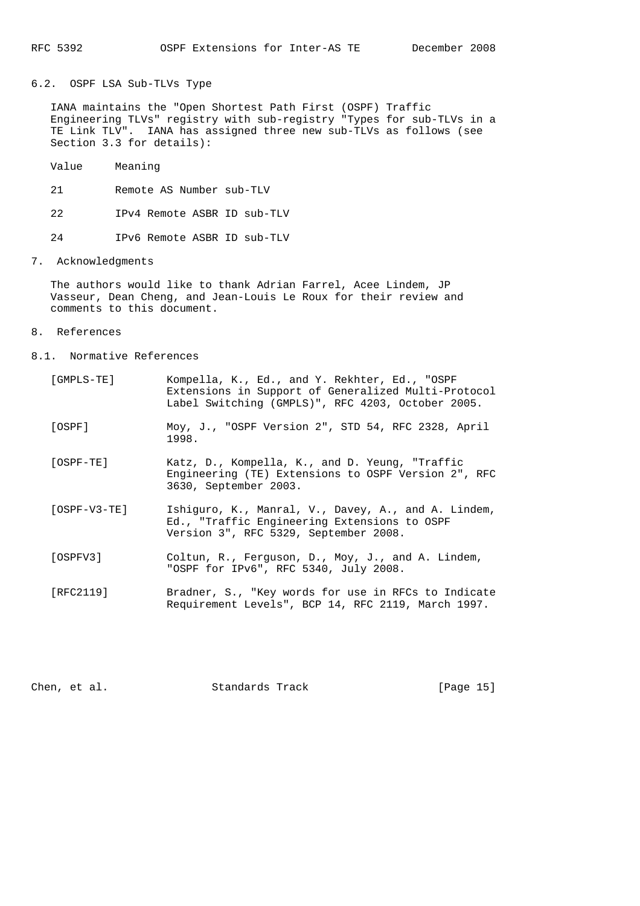6.2. OSPF LSA Sub-TLVs Type

 IANA maintains the "Open Shortest Path First (OSPF) Traffic Engineering TLVs" registry with sub-registry "Types for sub-TLVs in a TE Link TLV". IANA has assigned three new sub-TLVs as follows (see Section 3.3 for details):

- Value Meaning
- 21 Remote AS Number sub-TLV
- 22 IPv4 Remote ASBR ID sub-TLV
- 24 IPv6 Remote ASBR ID sub-TLV
- 7. Acknowledgments

 The authors would like to thank Adrian Farrel, Acee Lindem, JP Vasseur, Dean Cheng, and Jean-Louis Le Roux for their review and comments to this document.

- 8. References
- 8.1. Normative References

| [GMPLS-TE]     | Kompella, K., Ed., and Y. Rekhter, Ed., "OSPF<br>Extensions in Support of Generalized Multi-Protocol<br>Label Switching (GMPLS)", RFC 4203, October 2005. |
|----------------|-----------------------------------------------------------------------------------------------------------------------------------------------------------|
| [OSPF]         | Moy, J., "OSPF Version 2", STD 54, RFC 2328, April<br>1998.                                                                                               |
| $[OSPF-TE]$    | Katz, D., Kompella, K., and D. Yeung, "Traffic<br>Engineering (TE) Extensions to OSPF Version 2", RFC<br>3630, September 2003.                            |
| $[OSPF-V3-TE]$ | Ishiquro, K., Manral, V., Davey, A., and A. Lindem,<br>Ed., "Traffic Engineering Extensions to OSPF<br>Version 3", RFC 5329, September 2008.              |
| [OSPFV3]       | Coltun, R., Ferguson, D., Moy, J., and A. Lindem,<br>"OSPF for IPv6", RFC 5340, July 2008.                                                                |
| [RFC2119]      | Bradner, S., "Key words for use in RFCs to Indicate<br>Requirement Levels", BCP 14, RFC 2119, March 1997.                                                 |

Chen, et al. Standards Track [Page 15]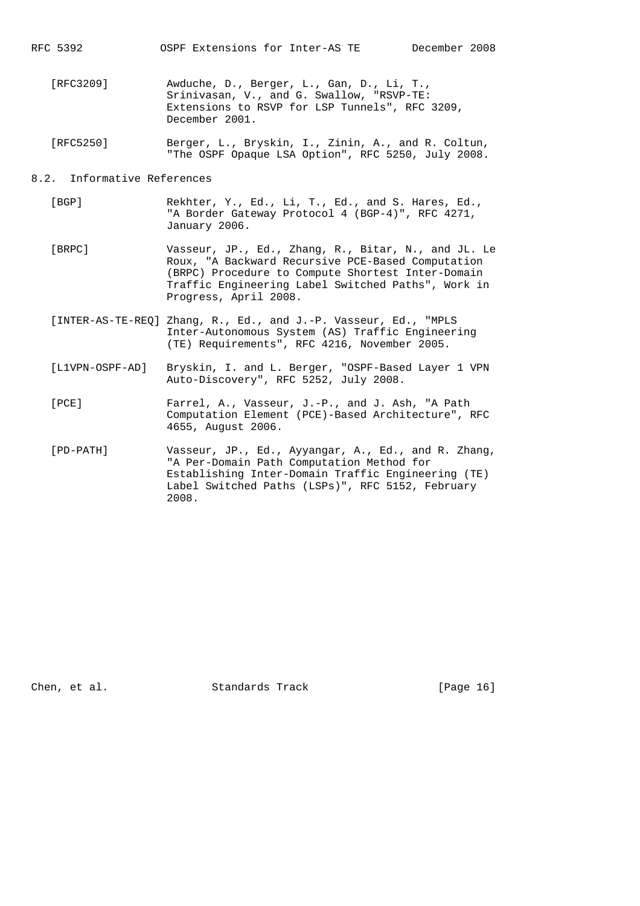- [RFC3209] Awduche, D., Berger, L., Gan, D., Li, T., Srinivasan, V., and G. Swallow, "RSVP-TE: Extensions to RSVP for LSP Tunnels", RFC 3209, December 2001.
- [RFC5250] Berger, L., Bryskin, I., Zinin, A., and R. Coltun, "The OSPF Opaque LSA Option", RFC 5250, July 2008.

### 8.2. Informative References

- [BGP] Rekhter, Y., Ed., Li, T., Ed., and S. Hares, Ed., "A Border Gateway Protocol 4 (BGP-4)", RFC 4271, January 2006.
- [BRPC] Vasseur, JP., Ed., Zhang, R., Bitar, N., and JL. Le Roux, "A Backward Recursive PCE-Based Computation (BRPC) Procedure to Compute Shortest Inter-Domain Traffic Engineering Label Switched Paths", Work in Progress, April 2008.
- [INTER-AS-TE-REQ] Zhang, R., Ed., and J.-P. Vasseur, Ed., "MPLS Inter-Autonomous System (AS) Traffic Engineering (TE) Requirements", RFC 4216, November 2005.
- [L1VPN-OSPF-AD] Bryskin, I. and L. Berger, "OSPF-Based Layer 1 VPN Auto-Discovery", RFC 5252, July 2008.
- [PCE] Farrel, A., Vasseur, J.-P., and J. Ash, "A Path Computation Element (PCE)-Based Architecture", RFC 4655, August 2006.
- [PD-PATH] Vasseur, JP., Ed., Ayyangar, A., Ed., and R. Zhang, "A Per-Domain Path Computation Method for Establishing Inter-Domain Traffic Engineering (TE) Label Switched Paths (LSPs)", RFC 5152, February 2008.

Chen, et al. Standards Track [Page 16]